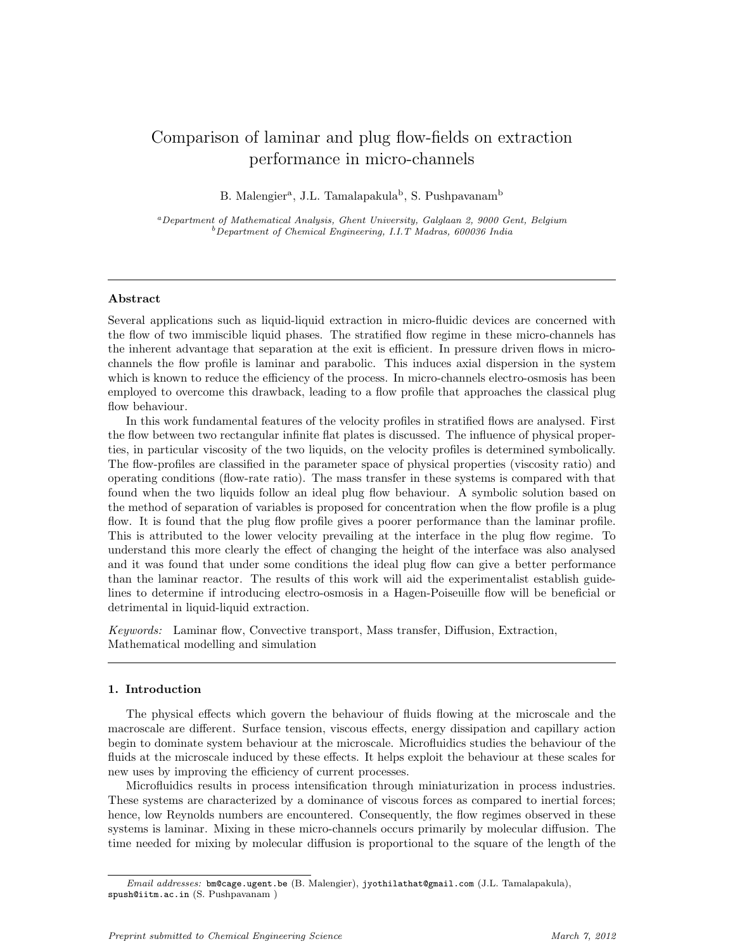# Comparison of laminar and plug flow-fields on extraction performance in micro-channels

B. Malengier<sup>a</sup>, J.L. Tamalapakula<sup>b</sup>, S. Pushpavanam<sup>b</sup>

*<sup>a</sup>Department of Mathematical Analysis, Ghent University, Galglaan 2, 9000 Gent, Belgium <sup>b</sup>Department of Chemical Engineering, I.I.T Madras, 600036 India*

# **Abstract**

Several applications such as liquid-liquid extraction in micro-fluidic devices are concerned with the flow of two immiscible liquid phases. The stratified flow regime in these micro-channels has the inherent advantage that separation at the exit is efficient. In pressure driven flows in microchannels the flow profile is laminar and parabolic. This induces axial dispersion in the system which is known to reduce the efficiency of the process. In micro-channels electro-osmosis has been employed to overcome this drawback, leading to a flow profile that approaches the classical plug flow behaviour.

In this work fundamental features of the velocity profiles in stratified flows are analysed. First the flow between two rectangular infinite flat plates is discussed. The influence of physical properties, in particular viscosity of the two liquids, on the velocity profiles is determined symbolically. The flow-profiles are classified in the parameter space of physical properties (viscosity ratio) and operating conditions (flow-rate ratio). The mass transfer in these systems is compared with that found when the two liquids follow an ideal plug flow behaviour. A symbolic solution based on the method of separation of variables is proposed for concentration when the flow profile is a plug flow. It is found that the plug flow profile gives a poorer performance than the laminar profile. This is attributed to the lower velocity prevailing at the interface in the plug flow regime. To understand this more clearly the effect of changing the height of the interface was also analysed and it was found that under some conditions the ideal plug flow can give a better performance than the laminar reactor. The results of this work will aid the experimentalist establish guidelines to determine if introducing electro-osmosis in a Hagen-Poiseuille flow will be beneficial or detrimental in liquid-liquid extraction.

*Keywords:* Laminar flow, Convective transport, Mass transfer, Diffusion, Extraction, Mathematical modelling and simulation

#### **1. Introduction**

The physical effects which govern the behaviour of fluids flowing at the microscale and the macroscale are different. Surface tension, viscous effects, energy dissipation and capillary action begin to dominate system behaviour at the microscale. Microfluidics studies the behaviour of the fluids at the microscale induced by these effects. It helps exploit the behaviour at these scales for new uses by improving the efficiency of current processes.

Microfluidics results in process intensification through miniaturization in process industries. These systems are characterized by a dominance of viscous forces as compared to inertial forces; hence, low Reynolds numbers are encountered. Consequently, the flow regimes observed in these systems is laminar. Mixing in these micro-channels occurs primarily by molecular diffusion. The time needed for mixing by molecular diffusion is proportional to the square of the length of the

*Email addresses:* bm@cage.ugent.be (B. Malengier), jyothilathat@gmail.com (J.L. Tamalapakula), spush@iitm.ac.in (S. Pushpavanam )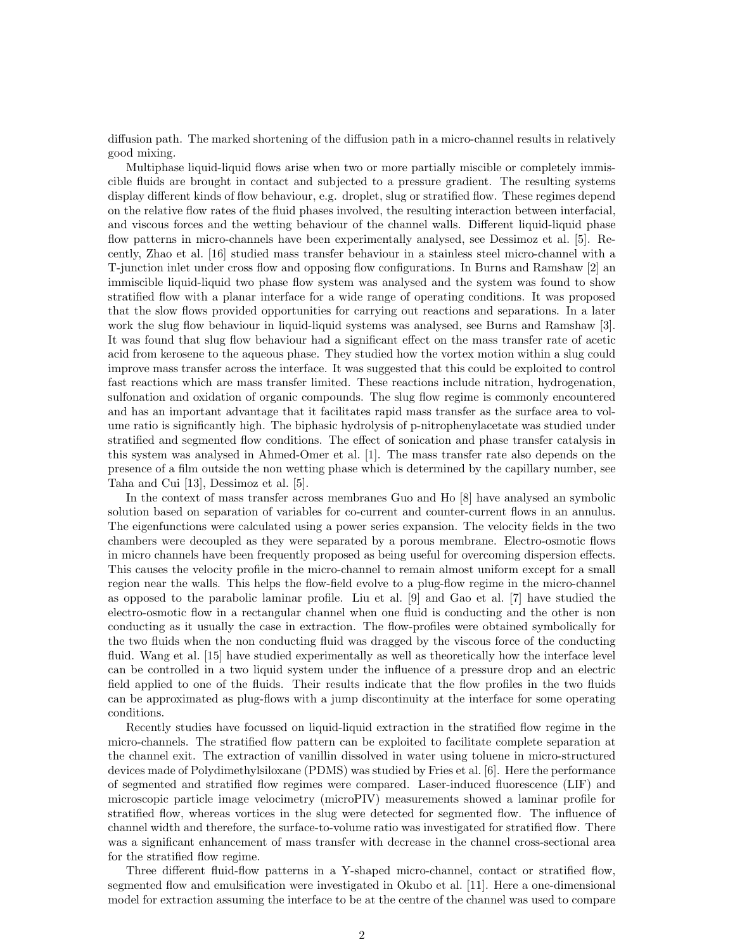diffusion path. The marked shortening of the diffusion path in a micro-channel results in relatively good mixing.

Multiphase liquid-liquid flows arise when two or more partially miscible or completely immiscible fluids are brought in contact and subjected to a pressure gradient. The resulting systems display different kinds of flow behaviour, e.g. droplet, slug or stratified flow. These regimes depend on the relative flow rates of the fluid phases involved, the resulting interaction between interfacial, and viscous forces and the wetting behaviour of the channel walls. Different liquid-liquid phase flow patterns in micro-channels have been experimentally analysed, see Dessimoz et al. [5]. Recently, Zhao et al. [16] studied mass transfer behaviour in a stainless steel micro-channel with a T-junction inlet under cross flow and opposing flow configurations. In Burns and Ramshaw [2] an immiscible liquid-liquid two phase flow system was analysed and the system was found to show stratified flow with a planar interface for a wide range of operating conditions. It was proposed that the slow flows provided opportunities for carrying out reactions and separations. In a later work the slug flow behaviour in liquid-liquid systems was analysed, see Burns and Ramshaw [3]. It was found that slug flow behaviour had a significant effect on the mass transfer rate of acetic acid from kerosene to the aqueous phase. They studied how the vortex motion within a slug could improve mass transfer across the interface. It was suggested that this could be exploited to control fast reactions which are mass transfer limited. These reactions include nitration, hydrogenation, sulfonation and oxidation of organic compounds. The slug flow regime is commonly encountered and has an important advantage that it facilitates rapid mass transfer as the surface area to volume ratio is significantly high. The biphasic hydrolysis of p-nitrophenylacetate was studied under stratified and segmented flow conditions. The effect of sonication and phase transfer catalysis in this system was analysed in Ahmed-Omer et al. [1]. The mass transfer rate also depends on the presence of a film outside the non wetting phase which is determined by the capillary number, see Taha and Cui [13], Dessimoz et al. [5].

In the context of mass transfer across membranes Guo and Ho [8] have analysed an symbolic solution based on separation of variables for co-current and counter-current flows in an annulus. The eigenfunctions were calculated using a power series expansion. The velocity fields in the two chambers were decoupled as they were separated by a porous membrane. Electro-osmotic flows in micro channels have been frequently proposed as being useful for overcoming dispersion effects. This causes the velocity profile in the micro-channel to remain almost uniform except for a small region near the walls. This helps the flow-field evolve to a plug-flow regime in the micro-channel as opposed to the parabolic laminar profile. Liu et al. [9] and Gao et al. [7] have studied the electro-osmotic flow in a rectangular channel when one fluid is conducting and the other is non conducting as it usually the case in extraction. The flow-profiles were obtained symbolically for the two fluids when the non conducting fluid was dragged by the viscous force of the conducting fluid. Wang et al. [15] have studied experimentally as well as theoretically how the interface level can be controlled in a two liquid system under the influence of a pressure drop and an electric field applied to one of the fluids. Their results indicate that the flow profiles in the two fluids can be approximated as plug-flows with a jump discontinuity at the interface for some operating conditions.

Recently studies have focussed on liquid-liquid extraction in the stratified flow regime in the micro-channels. The stratified flow pattern can be exploited to facilitate complete separation at the channel exit. The extraction of vanillin dissolved in water using toluene in micro-structured devices made of Polydimethylsiloxane (PDMS) was studied by Fries et al. [6]. Here the performance of segmented and stratified flow regimes were compared. Laser-induced fluorescence (LIF) and microscopic particle image velocimetry (microPIV) measurements showed a laminar profile for stratified flow, whereas vortices in the slug were detected for segmented flow. The influence of channel width and therefore, the surface-to-volume ratio was investigated for stratified flow. There was a significant enhancement of mass transfer with decrease in the channel cross-sectional area for the stratified flow regime.

Three different fluid-flow patterns in a Y-shaped micro-channel, contact or stratified flow, segmented flow and emulsification were investigated in Okubo et al. [11]. Here a one-dimensional model for extraction assuming the interface to be at the centre of the channel was used to compare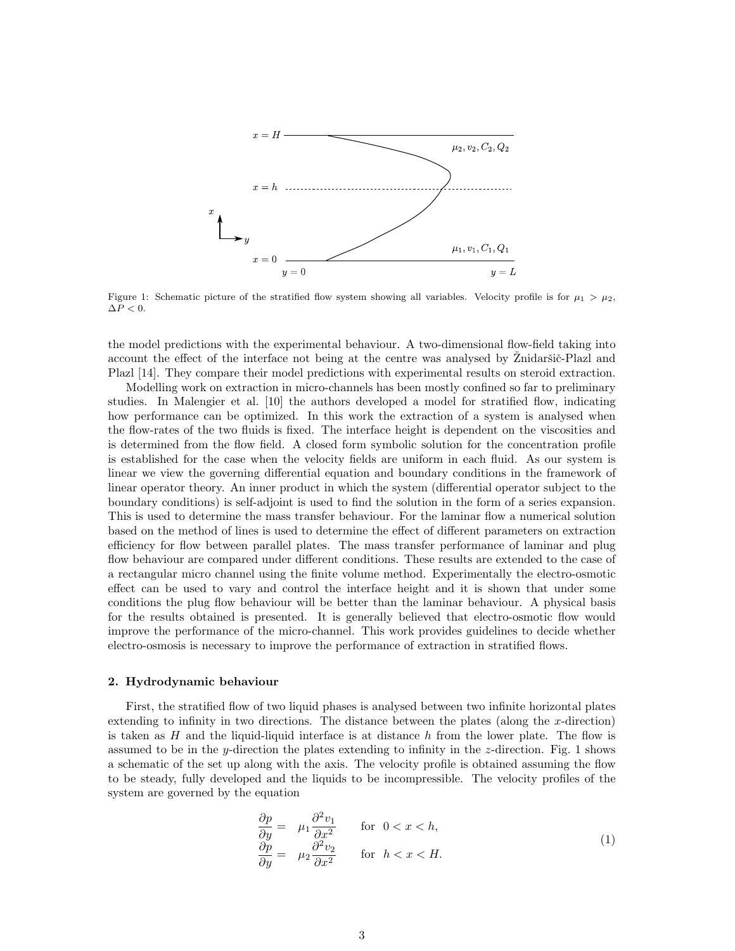

Figure 1: Schematic picture of the stratified flow system showing all variables. Velocity profile is for  $\mu_1 > \mu_2$ , ∆*P <* 0.

the model predictions with the experimental behaviour. A two-dimensional flow-field taking into account the effect of the interface not being at the centre was analysed by  $\tilde{Z}$ nidaršič-Plazl and Plazl [14]. They compare their model predictions with experimental results on steroid extraction.

Modelling work on extraction in micro-channels has been mostly confined so far to preliminary studies. In Malengier et al. [10] the authors developed a model for stratified flow, indicating how performance can be optimized. In this work the extraction of a system is analysed when the flow-rates of the two fluids is fixed. The interface height is dependent on the viscosities and is determined from the flow field. A closed form symbolic solution for the concentration profile is established for the case when the velocity fields are uniform in each fluid. As our system is linear we view the governing differential equation and boundary conditions in the framework of linear operator theory. An inner product in which the system (differential operator subject to the boundary conditions) is self-adjoint is used to find the solution in the form of a series expansion. This is used to determine the mass transfer behaviour. For the laminar flow a numerical solution based on the method of lines is used to determine the effect of different parameters on extraction efficiency for flow between parallel plates. The mass transfer performance of laminar and plug flow behaviour are compared under different conditions. These results are extended to the case of a rectangular micro channel using the finite volume method. Experimentally the electro-osmotic effect can be used to vary and control the interface height and it is shown that under some conditions the plug flow behaviour will be better than the laminar behaviour. A physical basis for the results obtained is presented. It is generally believed that electro-osmotic flow would improve the performance of the micro-channel. This work provides guidelines to decide whether electro-osmosis is necessary to improve the performance of extraction in stratified flows.

# **2. Hydrodynamic behaviour**

First, the stratified flow of two liquid phases is analysed between two infinite horizontal plates extending to infinity in two directions. The distance between the plates (along the *x*-direction) is taken as *H* and the liquid-liquid interface is at distance *h* from the lower plate. The flow is assumed to be in the *y*-direction the plates extending to infinity in the *z*-direction. Fig. 1 shows a schematic of the set up along with the axis. The velocity profile is obtained assuming the flow to be steady, fully developed and the liquids to be incompressible. The velocity profiles of the system are governed by the equation

$$
\frac{\partial p}{\partial y} = \mu_1 \frac{\partial^2 v_1}{\partial x^2} \quad \text{for } 0 < x < h,
$$
  
\n
$$
\frac{\partial p}{\partial y} = \mu_2 \frac{\partial^2 v_2}{\partial x^2} \quad \text{for } h < x < H.
$$
\n(1)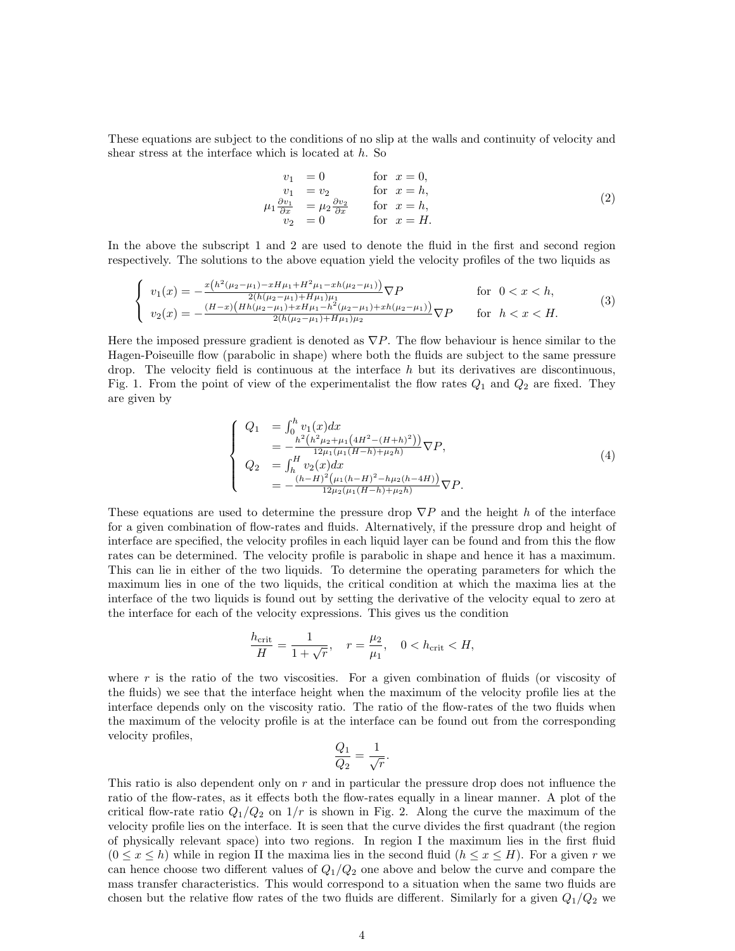These equations are subject to the conditions of no slip at the walls and continuity of velocity and shear stress at the interface which is located at *h*. So

$$
v_1 = 0 \qquad \text{for } x = 0,
$$
  
\n
$$
v_1 = v_2 \qquad \text{for } x = h,
$$
  
\n
$$
\mu_1 \frac{\partial v_1}{\partial x} = \mu_2 \frac{\partial v_2}{\partial x} \qquad \text{for } x = h,
$$
  
\n
$$
v_2 = 0 \qquad \text{for } x = H.
$$
\n(2)

In the above the subscript 1 and 2 are used to denote the fluid in the first and second region respectively. The solutions to the above equation yield the velocity profiles of the two liquids as

$$
\begin{cases}\nv_1(x) = -\frac{x(h^2(\mu_2 - \mu_1) - xH\mu_1 + H^2\mu_1 - xh(\mu_2 - \mu_1))}{2(h(\mu_2 - \mu_1) + H\mu_1)\mu_1}\nabla P & \text{for } 0 < x < h, \\
v_2(x) = -\frac{(H-x)\left(Hh(\mu_2 - \mu_1) + xH\mu_1 - h^2(\mu_2 - \mu_1) + xh(\mu_2 - \mu_1)\right)}{2(h(\mu_2 - \mu_1) + H\mu_1)\mu_2}\nabla P & \text{for } h < x < H.\n\end{cases}
$$
\n(3)

Here the imposed pressure gradient is denoted as  $\nabla P$ . The flow behaviour is hence similar to the Hagen-Poiseuille flow (parabolic in shape) where both the fluids are subject to the same pressure drop. The velocity field is continuous at the interface *h* but its derivatives are discontinuous, Fig. 1. From the point of view of the experimentalist the flow rates  $Q_1$  and  $Q_2$  are fixed. They are given by

$$
\begin{cases}\nQ_1 = \int_0^h v_1(x) dx \\
= -\frac{h^2 (h^2 \mu_2 + \mu_1 (4H^2 - (H+h)^2))}{12 \mu_1 (\mu_1 (H-h) + \mu_2 h)} \nabla P, \\
Q_2 = \int_h^H v_2(x) dx \\
= -\frac{(h-H)^2 (\mu_1 (h-H)^2 - h \mu_2 (h-4H))}{12 \mu_2 (\mu_1 (H-h) + \mu_2 h)} \nabla P.\n\end{cases}
$$
\n(4)

These equations are used to determine the pressure drop *∇P* and the height *h* of the interface for a given combination of flow-rates and fluids. Alternatively, if the pressure drop and height of interface are specified, the velocity profiles in each liquid layer can be found and from this the flow rates can be determined. The velocity profile is parabolic in shape and hence it has a maximum. This can lie in either of the two liquids. To determine the operating parameters for which the maximum lies in one of the two liquids, the critical condition at which the maxima lies at the interface of the two liquids is found out by setting the derivative of the velocity equal to zero at the interface for each of the velocity expressions. This gives us the condition

$$
\frac{h_{\text{crit}}}{H} = \frac{1}{1+\sqrt{r}}, \quad r = \frac{\mu_2}{\mu_1}, \quad 0 < h_{\text{crit}} < H,
$$

where  $r$  is the ratio of the two viscosities. For a given combination of fluids (or viscosity of the fluids) we see that the interface height when the maximum of the velocity profile lies at the interface depends only on the viscosity ratio. The ratio of the flow-rates of the two fluids when the maximum of the velocity profile is at the interface can be found out from the corresponding velocity profiles,

$$
\frac{Q_1}{Q_2} = \frac{1}{\sqrt{r}}.
$$

This ratio is also dependent only on *r* and in particular the pressure drop does not influence the ratio of the flow-rates, as it effects both the flow-rates equally in a linear manner. A plot of the critical flow-rate ratio  $Q_1/Q_2$  on  $1/r$  is shown in Fig. 2. Along the curve the maximum of the velocity profile lies on the interface. It is seen that the curve divides the first quadrant (the region of physically relevant space) into two regions. In region I the maximum lies in the first fluid  $(0 \leq x \leq h)$  while in region II the maxima lies in the second fluid  $(h \leq x \leq H)$ . For a given *r* we can hence choose two different values of *Q*1*/Q*<sup>2</sup> one above and below the curve and compare the mass transfer characteristics. This would correspond to a situation when the same two fluids are chosen but the relative flow rates of the two fluids are different. Similarly for a given  $Q_1/Q_2$  we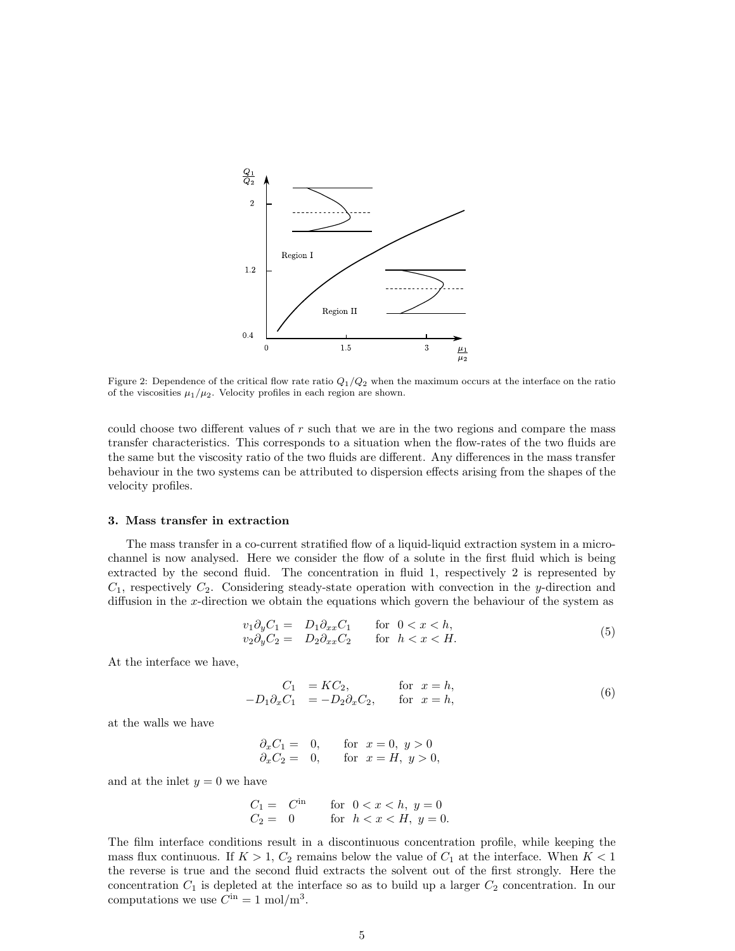

Figure 2: Dependence of the critical flow rate ratio  $Q_1/Q_2$  when the maximum occurs at the interface on the ratio of the viscosities  $\mu_1/\mu_2$ . Velocity profiles in each region are shown.

could choose two different values of *r* such that we are in the two regions and compare the mass transfer characteristics. This corresponds to a situation when the flow-rates of the two fluids are the same but the viscosity ratio of the two fluids are different. Any differences in the mass transfer behaviour in the two systems can be attributed to dispersion effects arising from the shapes of the velocity profiles.

#### **3. Mass transfer in extraction**

The mass transfer in a co-current stratified flow of a liquid-liquid extraction system in a microchannel is now analysed. Here we consider the flow of a solute in the first fluid which is being extracted by the second fluid. The concentration in fluid 1, respectively 2 is represented by *C*1, respectively *C*2. Considering steady-state operation with convection in the *y*-direction and diffusion in the *x*-direction we obtain the equations which govern the behaviour of the system as

$$
v_1 \partial_y C_1 = D_1 \partial_{xx} C_1 \quad \text{for } 0 < x < h,
$$
  
\n
$$
v_2 \partial_y C_2 = D_2 \partial_{xx} C_2 \quad \text{for } h < x < H.
$$
\n
$$
(5)
$$

At the interface we have,

$$
\begin{array}{rcl}\nC_1 & = KC_2, & \text{for } x = h, \\
-D_1 \partial_x C_1 & = -D_2 \partial_x C_2, & \text{for } x = h,\n\end{array} \tag{6}
$$

at the walls we have

$$
\begin{aligned}\n\partial_x C_1 &= 0, & \text{for } x = 0, \ y > 0 \\
\partial_x C_2 &= 0, & \text{for } x = H, \ y > 0,\n\end{aligned}
$$

and at the inlet  $y = 0$  we have

$$
C_1 = C^{in}
$$
 for  $0 < x < h, y = 0$   
\n $C_2 = 0$  for  $h < x < H, y = 0$ .

The film interface conditions result in a discontinuous concentration profile, while keeping the mass flux continuous. If  $K > 1$ ,  $C_2$  remains below the value of  $C_1$  at the interface. When  $K < 1$ the reverse is true and the second fluid extracts the solvent out of the first strongly. Here the concentration  $C_1$  is depleted at the interface so as to build up a larger  $C_2$  concentration. In our computations we use  $C^{in} = 1 \text{ mol/m}^3$ .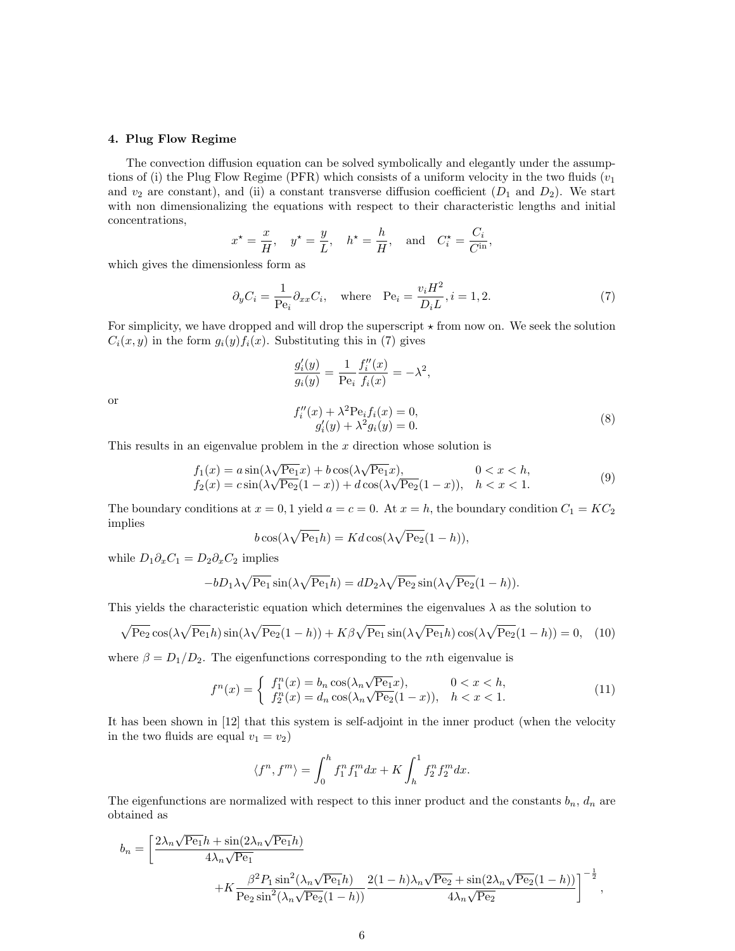#### **4. Plug Flow Regime**

The convection diffusion equation can be solved symbolically and elegantly under the assumptions of (i) the Plug Flow Regime (PFR) which consists of a uniform velocity in the two fluids  $(v_1)$ and  $v_2$  are constant), and (ii) a constant transverse diffusion coefficient  $(D_1 \text{ and } D_2)$ . We start with non dimensionalizing the equations with respect to their characteristic lengths and initial concentrations,

$$
x^* = \frac{x}{H}
$$
,  $y^* = \frac{y}{L}$ ,  $h^* = \frac{h}{H}$ , and  $C_i^* = \frac{C_i}{C^{in}}$ ,

which gives the dimensionless form as

$$
\partial_y C_i = \frac{1}{\text{Pe}_i} \partial_{xx} C_i, \quad \text{where} \quad \text{Pe}_i = \frac{v_i H^2}{D_i L}, i = 1, 2. \tag{7}
$$

For simplicity, we have dropped and will drop the superscript  $\star$  from now on. We seek the solution  $C_i(x, y)$  in the form  $g_i(y)f_i(x)$ . Substituting this in (7) gives

$$
\frac{g_i'(y)}{g_i(y)} = \frac{1}{\text{Pe}_i} \frac{f_i''(x)}{f_i(x)} = -\lambda^2,
$$
  

$$
f_i''(x) + \lambda^2 \text{Pe}_i f_i(x) = 0,
$$
  

$$
g_i'(y) + \lambda^2 g_i(y) = 0.
$$
 (8)

or

$$
f_i''(x) + \lambda^2 \text{Pe}_i f_i(x) = 0, g_i'(y) + \lambda^2 g_i(y) = 0.
$$
 (8)

This results in an eigenvalue problem in the *x* direction whose solution is

$$
f_1(x) = a \sin(\lambda \sqrt{Pe_1}x) + b \cos(\lambda \sqrt{Pe_1}x), \qquad 0 < x < h,f_2(x) = c \sin(\lambda \sqrt{Pe_2}(1-x)) + d \cos(\lambda \sqrt{Pe_2}(1-x)), \quad h < x < 1.
$$
 (9)

The boundary conditions at  $x = 0, 1$  yield  $a = c = 0$ . At  $x = h$ , the boundary condition  $C_1 = KC_2$ implies

$$
b\cos(\lambda\sqrt{\text{Pe}_1}h) = Kd\cos(\lambda\sqrt{\text{Pe}_2}(1-h)),
$$

while  $D_1 \partial_x C_1 = D_2 \partial_x C_2$  implies

$$
-bD_1\lambda\sqrt{\text{Pe}_1}\sin(\lambda\sqrt{\text{Pe}_1}h) = dD_2\lambda\sqrt{\text{Pe}_2}\sin(\lambda\sqrt{\text{Pe}_2}(1-h)).
$$

This yields the characteristic equation which determines the eigenvalues  $\lambda$  as the solution to

$$
\sqrt{\text{Pe}_2} \cos(\lambda \sqrt{\text{Pe}_1} h) \sin(\lambda \sqrt{\text{Pe}_2} (1 - h)) + K\beta \sqrt{\text{Pe}_1} \sin(\lambda \sqrt{\text{Pe}_1} h) \cos(\lambda \sqrt{\text{Pe}_2} (1 - h)) = 0, \quad (10)
$$

where  $\beta = D_1/D_2$ . The eigenfunctions corresponding to the *n*th eigenvalue is

$$
f^{n}(x) = \begin{cases} f_{1}^{n}(x) = b_{n} \cos(\lambda_{n} \sqrt{\text{Pe}_{1}} x), & 0 < x < h, \\ f_{2}^{n}(x) = d_{n} \cos(\lambda_{n} \sqrt{\text{Pe}_{2}} (1 - x)), & h < x < 1. \end{cases}
$$
(11)

It has been shown in [12] that this system is self-adjoint in the inner product (when the velocity in the two fluids are equal  $v_1 = v_2$ )

$$
\langle f^n, f^m \rangle = \int_0^h f_1^n f_1^m dx + K \int_h^1 f_2^n f_2^m dx.
$$

The eigenfunctions are normalized with respect to this inner product and the constants  $b_n$ ,  $d_n$  are obtained as

$$
b_n = \left[\frac{2\lambda_n\sqrt{\text{Pe}_1}h + \sin(2\lambda_n\sqrt{\text{Pe}_1}h)}{4\lambda_n\sqrt{\text{Pe}_1}} + K\frac{\beta^2 P_1 \sin^2(\lambda_n\sqrt{\text{Pe}_1}h)}{\text{Pe}_2 \sin^2(\lambda_n\sqrt{\text{Pe}_2}(1-h))} \frac{2(1-h)\lambda_n\sqrt{\text{Pe}_2} + \sin(2\lambda_n\sqrt{\text{Pe}_2}(1-h))}{4\lambda_n\sqrt{\text{Pe}_2}}\right]^{-\frac{1}{2}},
$$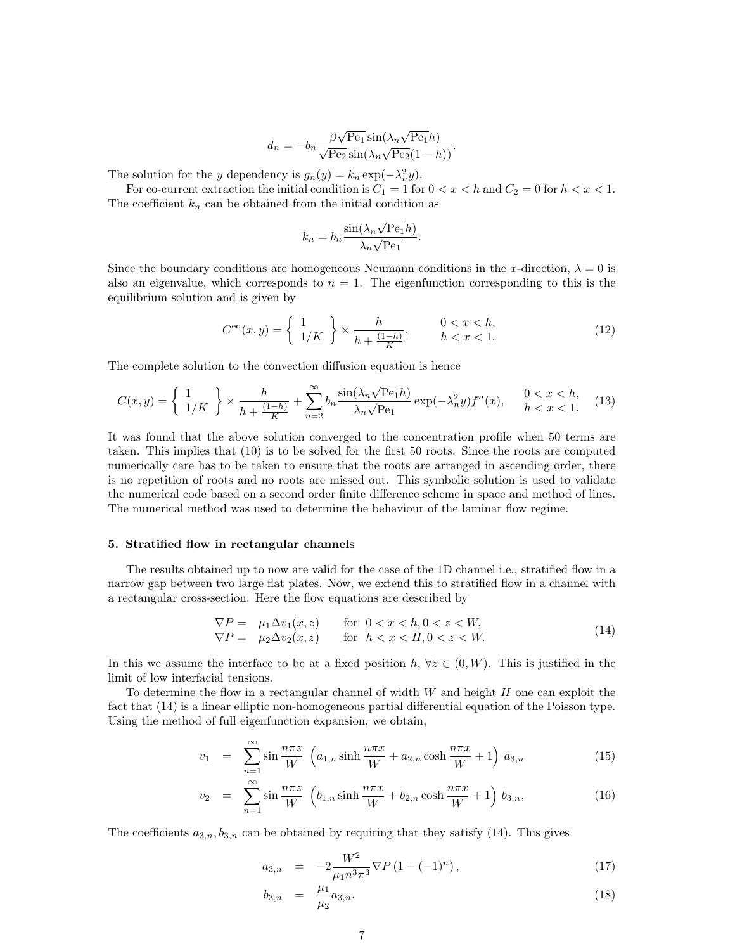$$
d_n = -b_n \frac{\beta \sqrt{\text{Pe}_1} \sin(\lambda_n \sqrt{\text{Pe}_1} h)}{\sqrt{\text{Pe}_2} \sin(\lambda_n \sqrt{\text{Pe}_2} (1 - h))}.
$$

The solution for the *y* dependency is  $g_n(y) = k_n \exp(-\lambda_n^2 y)$ .

For co-current extraction the initial condition is  $C_1 = 1$  for  $0 < x < h$  and  $C_2 = 0$  for  $h < x < 1$ . The coefficient  $k_n$  can be obtained from the initial condition as

$$
k_n = b_n \frac{\sin(\lambda_n \sqrt{\text{Pe}_1}h)}{\lambda_n \sqrt{\text{Pe}_1}}.
$$

Since the boundary conditions are homogeneous Neumann conditions in the *x*-direction,  $\lambda = 0$  is also an eigenvalue, which corresponds to  $n = 1$ . The eigenfunction corresponding to this is the equilibrium solution and is given by

$$
Ceq(x, y) = \begin{cases} 1 \\ 1/K \end{cases} \times \frac{h}{h + \frac{(1-h)}{K}}, \qquad \begin{array}{l} 0 < x < h, \\ h < x < 1. \end{array} \tag{12}
$$

The complete solution to the convection diffusion equation is hence

$$
C(x,y) = \begin{cases} 1 & \text{if } \lambda < \frac{h}{h + \frac{(1-h)}{K}} + \sum_{n=2}^{\infty} b_n \frac{\sin(\lambda_n \sqrt{\text{Pe}_1}h)}{\lambda_n \sqrt{\text{Pe}_1}} \exp(-\lambda_n^2 y) f^n(x), & \lambda < x < h, \lambda < 1. \end{cases} \tag{13}
$$

It was found that the above solution converged to the concentration profile when 50 terms are taken. This implies that (10) is to be solved for the first 50 roots. Since the roots are computed numerically care has to be taken to ensure that the roots are arranged in ascending order, there is no repetition of roots and no roots are missed out. This symbolic solution is used to validate the numerical code based on a second order finite difference scheme in space and method of lines. The numerical method was used to determine the behaviour of the laminar flow regime.

#### **5. Stratified flow in rectangular channels**

The results obtained up to now are valid for the case of the 1D channel i.e., stratified flow in a narrow gap between two large flat plates. Now, we extend this to stratified flow in a channel with a rectangular cross-section. Here the flow equations are described by

$$
\nabla P = \mu_1 \Delta v_1(x, z) \quad \text{for } 0 < x < h, 0 < z < W, \n\nabla P = \mu_2 \Delta v_2(x, z) \quad \text{for } h < x < H, 0 < z < W.
$$
\n
$$
\tag{14}
$$

In this we assume the interface to be at a fixed position  $h, \forall z \in (0, W)$ . This is justified in the limit of low interfacial tensions.

To determine the flow in a rectangular channel of width *W* and height *H* one can exploit the fact that (14) is a linear elliptic non-homogeneous partial differential equation of the Poisson type. Using the method of full eigenfunction expansion, we obtain,

$$
v_1 = \sum_{n=1}^{\infty} \sin \frac{n\pi z}{W} \left( a_{1,n} \sinh \frac{n\pi x}{W} + a_{2,n} \cosh \frac{n\pi x}{W} + 1 \right) a_{3,n}
$$
 (15)

$$
v_2 = \sum_{n=1}^{\infty} \sin \frac{n \pi z}{W} \left( b_{1,n} \sinh \frac{n \pi x}{W} + b_{2,n} \cosh \frac{n \pi x}{W} + 1 \right) b_{3,n}, \tag{16}
$$

The coefficients  $a_{3,n}, b_{3,n}$  can be obtained by requiring that they satisfy (14). This gives

$$
a_{3,n} = -2\frac{W^2}{\mu_1 n^3 \pi^3} \nabla P \left(1 - (-1)^n\right),\tag{17}
$$

$$
b_{3,n} = \frac{\mu_1}{\mu_2} a_{3,n}.
$$
 (18)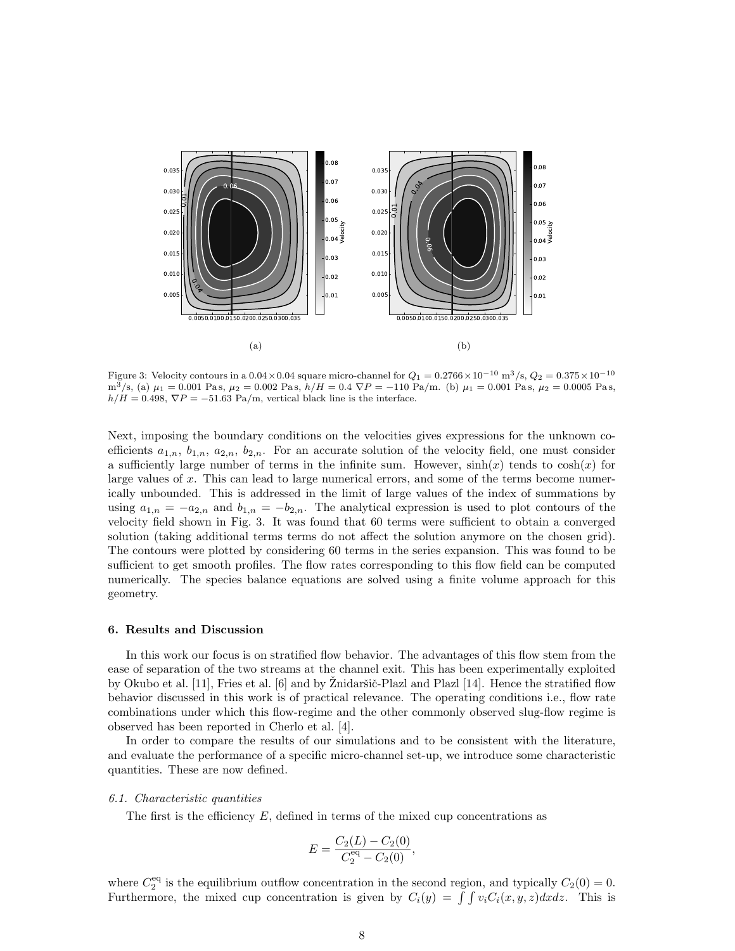

Figure 3: Velocity contours in a 0*.*04*×*0*.*04 square micro-channel for *<sup>Q</sup>*<sup>1</sup> = 0*.*2766*×*10*−*<sup>10</sup> <sup>m</sup>3/s, *<sup>Q</sup>*<sup>2</sup> = 0*.*375*×*10*−*<sup>10</sup>  $m^3/s$ , (a)  $\mu_1 = 0.001$  Pas,  $\mu_2 = 0.002$  Pas,  $h/H = 0.4$   $\nabla P = -110$  Pa/m. (b)  $\mu_1 = 0.001$  Pas,  $\mu_2 = 0.0005$  Pas,  $h/H = 0.498$ ,  $\nabla P = -51.63$  Pa/m, vertical black line is the interface.

Next, imposing the boundary conditions on the velocities gives expressions for the unknown coefficients  $a_{1,n}$ ,  $b_{1,n}$ ,  $a_{2,n}$ ,  $b_{2,n}$ . For an accurate solution of the velocity field, one must consider a sufficiently large number of terms in the infinite sum. However,  $sinh(x)$  tends to  $cosh(x)$  for large values of *x*. This can lead to large numerical errors, and some of the terms become numerically unbounded. This is addressed in the limit of large values of the index of summations by using  $a_{1,n} = -a_{2,n}$  and  $b_{1,n} = -b_{2,n}$ . The analytical expression is used to plot contours of the velocity field shown in Fig. 3. It was found that 60 terms were sufficient to obtain a converged solution (taking additional terms terms do not affect the solution anymore on the chosen grid). The contours were plotted by considering 60 terms in the series expansion. This was found to be sufficient to get smooth profiles. The flow rates corresponding to this flow field can be computed numerically. The species balance equations are solved using a finite volume approach for this geometry.

#### **6. Results and Discussion**

In this work our focus is on stratified flow behavior. The advantages of this flow stem from the ease of separation of the two streams at the channel exit. This has been experimentally exploited by Okubo et al. [11], Fries et al. [6] and by Znidaršič-Plazl and Plazl [14]. Hence the stratified flow behavior discussed in this work is of practical relevance. The operating conditions i.e., flow rate combinations under which this flow-regime and the other commonly observed slug-flow regime is observed has been reported in Cherlo et al. [4].

In order to compare the results of our simulations and to be consistent with the literature, and evaluate the performance of a specific micro-channel set-up, we introduce some characteristic quantities. These are now defined.

# *6.1. Characteristic quantities*

The first is the efficiency *E*, defined in terms of the mixed cup concentrations as

$$
E = \frac{C_2(L) - C_2(0)}{C_2^{\text{eq}} - C_2(0)},
$$

where  $C_2^{\text{eq}}$  is the equilibrium outflow concentration in the second region, and typically  $C_2(0) = 0$ . Furthermore, the mixed cup concentration is given by  $C_i(y) = \int \int v_i C_i(x, y, z) dx dz$ . This is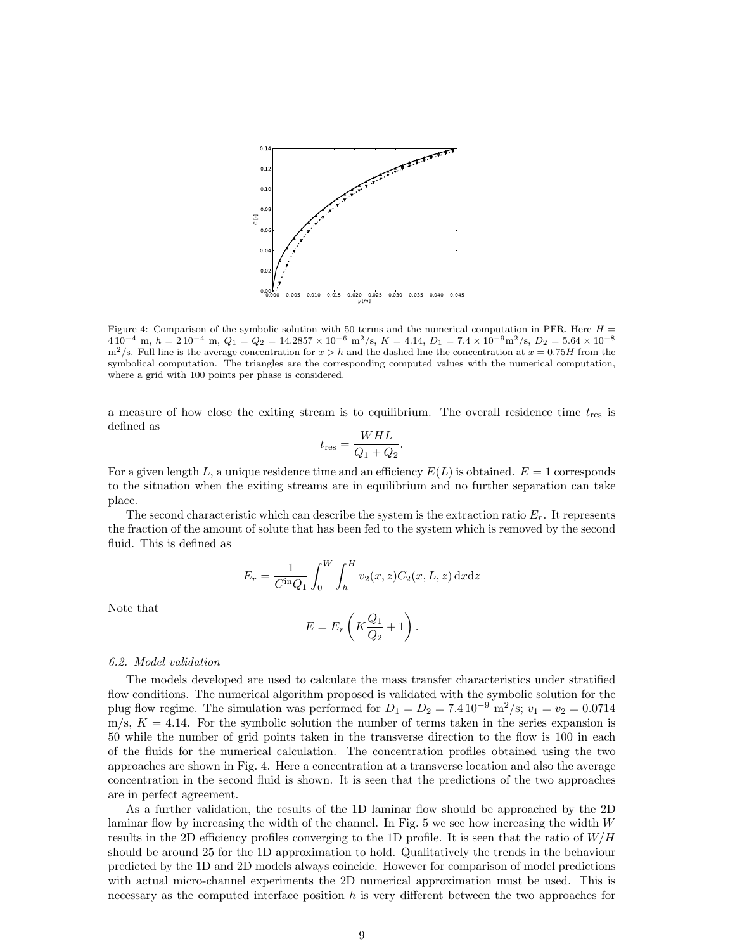

Figure 4: Comparison of the symbolic solution with 50 terms and the numerical computation in PFR. Here  $H =$  $410^{-4}$  m,  $h = 210^{-4}$  m,  $Q_1 = Q_2 = 14.2857 \times 10^{-6}$  m<sup>2</sup>/s,  $K = 4.14$ ,  $D_1 = 7.4 \times 10^{-9}$  m<sup>2</sup>/s,  $D_2 = 5.64 \times 10^{-8}$  $m^2/s$ . Full line is the average concentration for  $x > h$  and the dashed line the concentration at  $x = 0.75H$  from the symbolical computation. The triangles are the corresponding computed values with the numerical computation, where a grid with 100 points per phase is considered.

a measure of how close the exiting stream is to equilibrium. The overall residence time *t*res is defined as

$$
t_{\text{res}} = \frac{WHL}{Q_1 + Q_2}.
$$

For a given length L, a unique residence time and an efficiency  $E(L)$  is obtained.  $E = 1$  corresponds to the situation when the exiting streams are in equilibrium and no further separation can take place.

The second characteristic which can describe the system is the extraction ratio  $E_r$ . It represents the fraction of the amount of solute that has been fed to the system which is removed by the second fluid. This is defined as

$$
E_r = \frac{1}{C^{\text{in}} Q_1} \int_0^W \int_h^H v_2(x, z) C_2(x, L, z) \, \mathrm{d}x \mathrm{d}z
$$

Note that

$$
E = E_r \left( K \frac{Q_1}{Q_2} + 1 \right).
$$

#### *6.2. Model validation*

The models developed are used to calculate the mass transfer characteristics under stratified flow conditions. The numerical algorithm proposed is validated with the symbolic solution for the plug flow regime. The simulation was performed for  $D_1 = D_2 = 7.4 \times 10^{-9} \text{ m}^2/\text{s}; v_1 = v_2 = 0.0714$  $m/s$ ,  $K = 4.14$ . For the symbolic solution the number of terms taken in the series expansion is 50 while the number of grid points taken in the transverse direction to the flow is 100 in each of the fluids for the numerical calculation. The concentration profiles obtained using the two approaches are shown in Fig. 4. Here a concentration at a transverse location and also the average concentration in the second fluid is shown. It is seen that the predictions of the two approaches are in perfect agreement.

As a further validation, the results of the 1D laminar flow should be approached by the 2D laminar flow by increasing the width of the channel. In Fig. 5 we see how increasing the width *W* results in the 2D efficiency profiles converging to the 1D profile. It is seen that the ratio of *W/H* should be around 25 for the 1D approximation to hold. Qualitatively the trends in the behaviour predicted by the 1D and 2D models always coincide. However for comparison of model predictions with actual micro-channel experiments the 2D numerical approximation must be used. This is necessary as the computed interface position *h* is very different between the two approaches for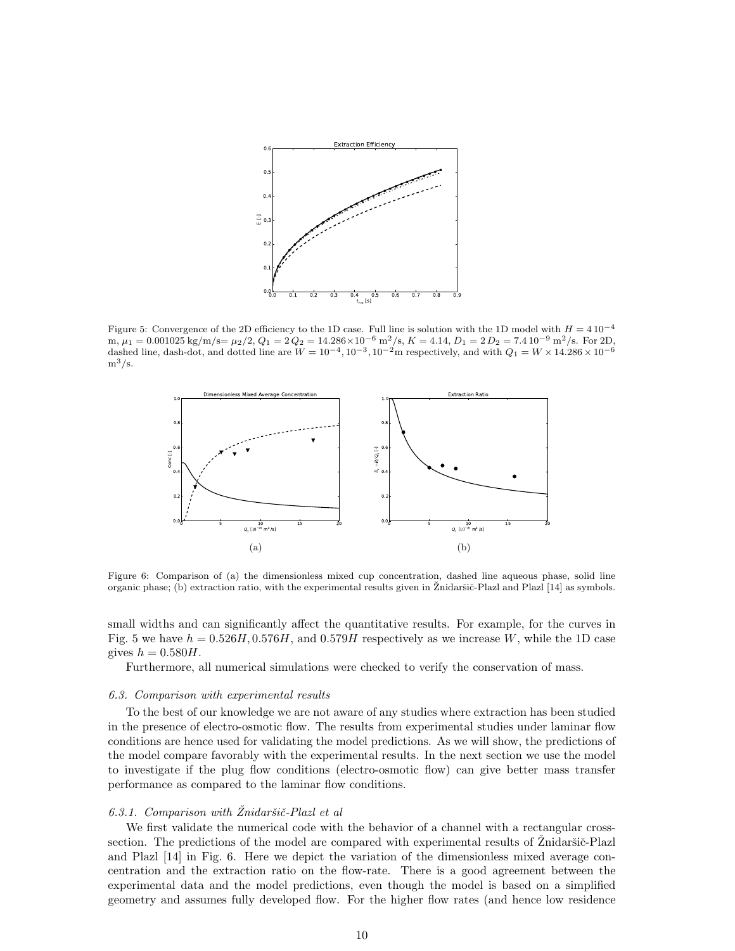

Figure 5: Convergence of the 2D efficiency to the 1D case. Full line is solution with the 1D model with  $H = 410^{-4}$ m,  $\mu_1 = 0.001025 \text{ kg/m/s} = \mu_2/2$ ,  $Q_1 = 2 Q_2 = 14.286 \times 10^{-6} \text{ m}^2/\text{s}$ ,  $K = 4.14$ ,  $D_1 = 2 D_2 = 7.4 10^{-9} \text{ m}^2/\text{s}$ . For 2D, dashed line, dash-dot, and dotted line are  $W = 10^{-4}$ ,  $10^{-3}$ ,  $10^{-2}$ m respectively, and with  $Q_1 = W \times 14.286 \times 10^{-6}$  $m^3/s$ .



Figure 6: Comparison of (a) the dimensionless mixed cup concentration, dashed line aqueous phase, solid line organic phase; (b) extraction ratio, with the experimental results given in Žnidaršič-Plazl and Plazl [14] as symbols.

small widths and can significantly affect the quantitative results. For example, for the curves in Fig. 5 we have  $h = 0.526H, 0.576H,$  and  $0.579H$  respectively as we increase W, while the 1D case gives  $h = 0.580H$ .

Furthermore, all numerical simulations were checked to verify the conservation of mass.

# *6.3. Comparison with experimental results*

To the best of our knowledge we are not aware of any studies where extraction has been studied in the presence of electro-osmotic flow. The results from experimental studies under laminar flow conditions are hence used for validating the model predictions. As we will show, the predictions of the model compare favorably with the experimental results. In the next section we use the model to investigate if the plug flow conditions (electro-osmotic flow) can give better mass transfer performance as compared to the laminar flow conditions.

# 6.3.1. Comparison with  $\check{Z}$ nidaršič-Plazl et al

We first validate the numerical code with the behavior of a channel with a rectangular crosssection. The predictions of the model are compared with experimental results of Znidaršič-Plazl and Plazl [14] in Fig. 6. Here we depict the variation of the dimensionless mixed average concentration and the extraction ratio on the flow-rate. There is a good agreement between the experimental data and the model predictions, even though the model is based on a simplified geometry and assumes fully developed flow. For the higher flow rates (and hence low residence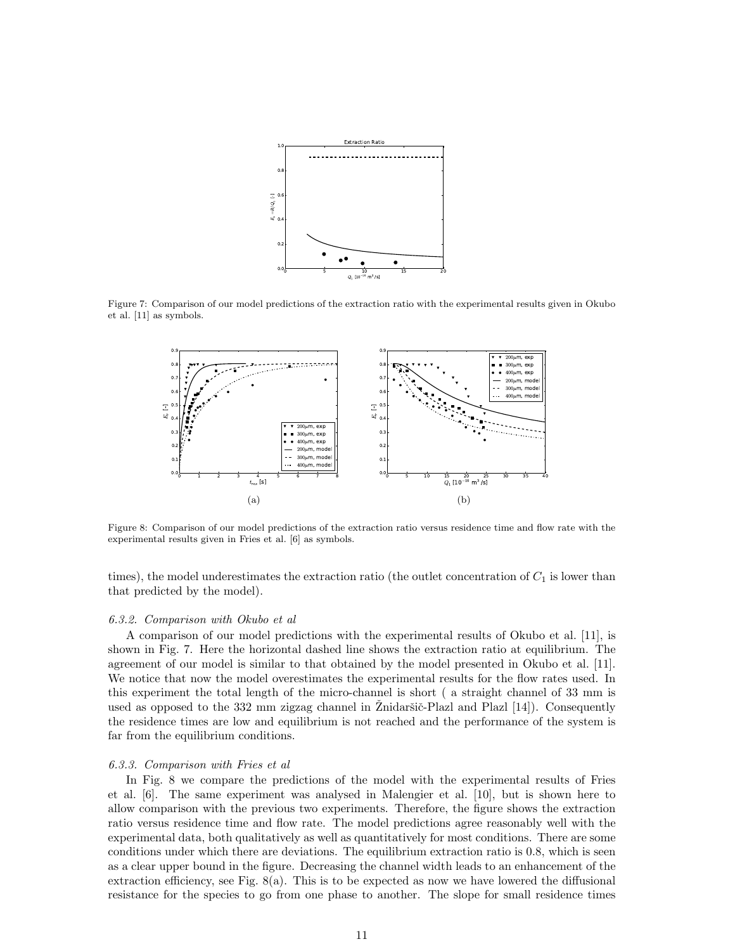

Figure 7: Comparison of our model predictions of the extraction ratio with the experimental results given in Okubo et al. [11] as symbols.



Figure 8: Comparison of our model predictions of the extraction ratio versus residence time and flow rate with the experimental results given in Fries et al. [6] as symbols.

times), the model underestimates the extraction ratio (the outlet concentration of  $C_1$  is lower than that predicted by the model).

#### *6.3.2. Comparison with Okubo et al*

A comparison of our model predictions with the experimental results of Okubo et al. [11], is shown in Fig. 7. Here the horizontal dashed line shows the extraction ratio at equilibrium. The agreement of our model is similar to that obtained by the model presented in Okubo et al. [11]. We notice that now the model overestimates the experimental results for the flow rates used. In this experiment the total length of the micro-channel is short ( a straight channel of 33 mm is used as opposed to the 332 mm zigzag channel in Znidaršič-Plazl and Plazl  $[14]$ ). Consequently the residence times are low and equilibrium is not reached and the performance of the system is far from the equilibrium conditions.

# *6.3.3. Comparison with Fries et al*

In Fig. 8 we compare the predictions of the model with the experimental results of Fries et al. [6]. The same experiment was analysed in Malengier et al. [10], but is shown here to allow comparison with the previous two experiments. Therefore, the figure shows the extraction ratio versus residence time and flow rate. The model predictions agree reasonably well with the experimental data, both qualitatively as well as quantitatively for most conditions. There are some conditions under which there are deviations. The equilibrium extraction ratio is 0.8, which is seen as a clear upper bound in the figure. Decreasing the channel width leads to an enhancement of the extraction efficiency, see Fig.  $8(a)$ . This is to be expected as now we have lowered the diffusional resistance for the species to go from one phase to another. The slope for small residence times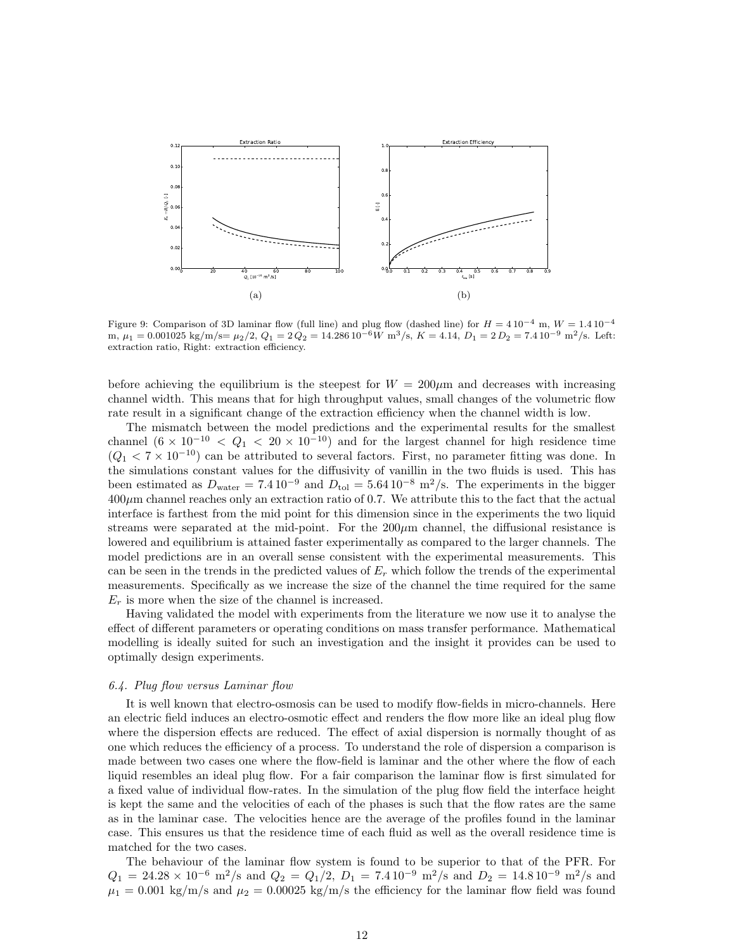

Figure 9: Comparison of 3D laminar flow (full line) and plug flow (dashed line) for *H* = 4 10*−*<sup>4</sup> m, *W* = 1*.*4 10*−*<sup>4</sup> m, *µ*<sup>1</sup> = 0*.*001025 kg/m/s= *µ*2*/*2, *Q*<sup>1</sup> = 2 *Q*<sup>2</sup> = 14*.*286 10*−*6*W* m3/s, *K* = 4*.*14, *D*<sup>1</sup> = 2 *D*<sup>2</sup> = 7*.*4 10*−*<sup>9</sup> m2/s. Left: extraction ratio, Right: extraction efficiency.

before achieving the equilibrium is the steepest for  $W = 200 \mu m$  and decreases with increasing channel width. This means that for high throughput values, small changes of the volumetric flow rate result in a significant change of the extraction efficiency when the channel width is low.

The mismatch between the model predictions and the experimental results for the smallest channel  $(6 \times 10^{-10} < Q_1 < 20 \times 10^{-10})$  and for the largest channel for high residence time  $(Q_1 < 7 \times 10^{-10})$  can be attributed to several factors. First, no parameter fitting was done. In the simulations constant values for the diffusivity of vanillin in the two fluids is used. This has been estimated as  $D_{\text{water}} = 7.4 \, 10^{-9}$  and  $D_{\text{tol}} = 5.64 \, 10^{-8} \, \text{m}^2/\text{s}$ . The experiments in the bigger 400*µ*m channel reaches only an extraction ratio of 0*.*7. We attribute this to the fact that the actual interface is farthest from the mid point for this dimension since in the experiments the two liquid streams were separated at the mid-point. For the 200*µ*m channel, the diffusional resistance is lowered and equilibrium is attained faster experimentally as compared to the larger channels. The model predictions are in an overall sense consistent with the experimental measurements. This can be seen in the trends in the predicted values of  $E_r$  which follow the trends of the experimental measurements. Specifically as we increase the size of the channel the time required for the same  $E_r$  is more when the size of the channel is increased.

Having validated the model with experiments from the literature we now use it to analyse the effect of different parameters or operating conditions on mass transfer performance. Mathematical modelling is ideally suited for such an investigation and the insight it provides can be used to optimally design experiments.

# *6.4. Plug flow versus Laminar flow*

It is well known that electro-osmosis can be used to modify flow-fields in micro-channels. Here an electric field induces an electro-osmotic effect and renders the flow more like an ideal plug flow where the dispersion effects are reduced. The effect of axial dispersion is normally thought of as one which reduces the efficiency of a process. To understand the role of dispersion a comparison is made between two cases one where the flow-field is laminar and the other where the flow of each liquid resembles an ideal plug flow. For a fair comparison the laminar flow is first simulated for a fixed value of individual flow-rates. In the simulation of the plug flow field the interface height is kept the same and the velocities of each of the phases is such that the flow rates are the same as in the laminar case. The velocities hence are the average of the profiles found in the laminar case. This ensures us that the residence time of each fluid as well as the overall residence time is matched for the two cases.

The behaviour of the laminar flow system is found to be superior to that of the PFR. For  $Q_1 = 24.28 \times 10^{-6}$  m<sup>2</sup>/s and  $Q_2 = Q_1/2$ ,  $D_1 = 7.4 10^{-9}$  m<sup>2</sup>/s and  $D_2 = 14.8 10^{-9}$  m<sup>2</sup>/s and  $\mu_1 = 0.001 \text{ kg/m/s}$  and  $\mu_2 = 0.00025 \text{ kg/m/s}$  the efficiency for the laminar flow field was found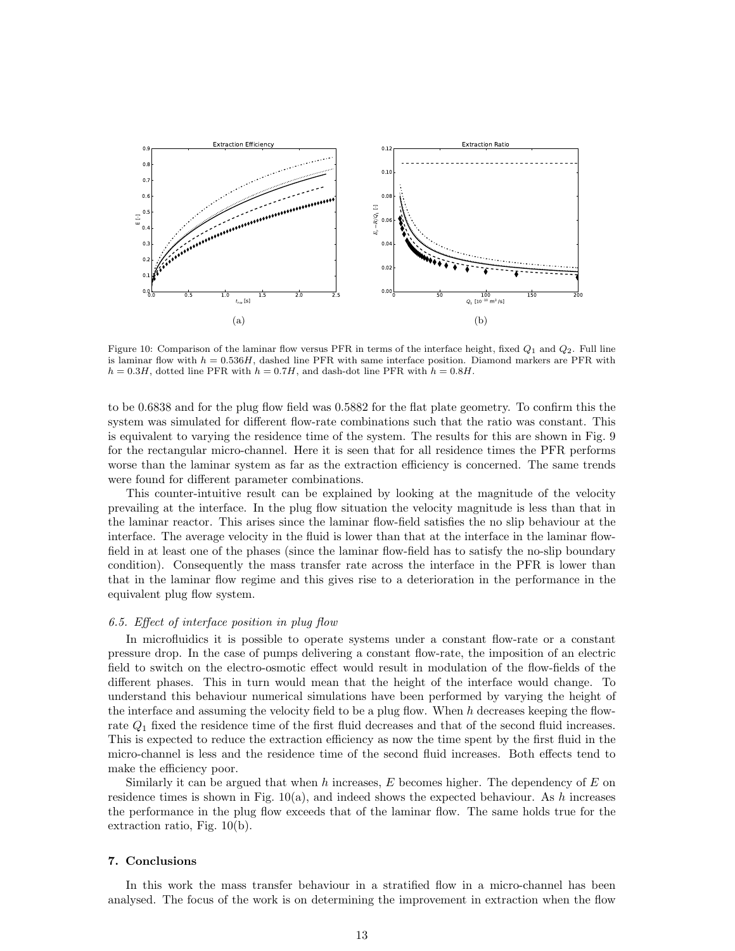

Figure 10: Comparison of the laminar flow versus PFR in terms of the interface height, fixed *Q*<sup>1</sup> and *Q*2. Full line is laminar flow with *h* = 0*.*536*H*, dashed line PFR with same interface position. Diamond markers are PFR with  $h = 0.3H$ , dotted line PFR with  $h = 0.7H$ , and dash-dot line PFR with  $h = 0.8H$ .

to be 0*.*6838 and for the plug flow field was 0*.*5882 for the flat plate geometry. To confirm this the system was simulated for different flow-rate combinations such that the ratio was constant. This is equivalent to varying the residence time of the system. The results for this are shown in Fig. 9 for the rectangular micro-channel. Here it is seen that for all residence times the PFR performs worse than the laminar system as far as the extraction efficiency is concerned. The same trends were found for different parameter combinations.

This counter-intuitive result can be explained by looking at the magnitude of the velocity prevailing at the interface. In the plug flow situation the velocity magnitude is less than that in the laminar reactor. This arises since the laminar flow-field satisfies the no slip behaviour at the interface. The average velocity in the fluid is lower than that at the interface in the laminar flowfield in at least one of the phases (since the laminar flow-field has to satisfy the no-slip boundary condition). Consequently the mass transfer rate across the interface in the PFR is lower than that in the laminar flow regime and this gives rise to a deterioration in the performance in the equivalent plug flow system.

# *6.5. Effect of interface position in plug flow*

In microfluidics it is possible to operate systems under a constant flow-rate or a constant pressure drop. In the case of pumps delivering a constant flow-rate, the imposition of an electric field to switch on the electro-osmotic effect would result in modulation of the flow-fields of the different phases. This in turn would mean that the height of the interface would change. To understand this behaviour numerical simulations have been performed by varying the height of the interface and assuming the velocity field to be a plug flow. When *h* decreases keeping the flowrate *Q*<sup>1</sup> fixed the residence time of the first fluid decreases and that of the second fluid increases. This is expected to reduce the extraction efficiency as now the time spent by the first fluid in the micro-channel is less and the residence time of the second fluid increases. Both effects tend to make the efficiency poor.

Similarly it can be argued that when *h* increases, *E* becomes higher. The dependency of *E* on residence times is shown in Fig.  $10(a)$ , and indeed shows the expected behaviour. As h increases the performance in the plug flow exceeds that of the laminar flow. The same holds true for the extraction ratio, Fig. 10(b).

# **7. Conclusions**

In this work the mass transfer behaviour in a stratified flow in a micro-channel has been analysed. The focus of the work is on determining the improvement in extraction when the flow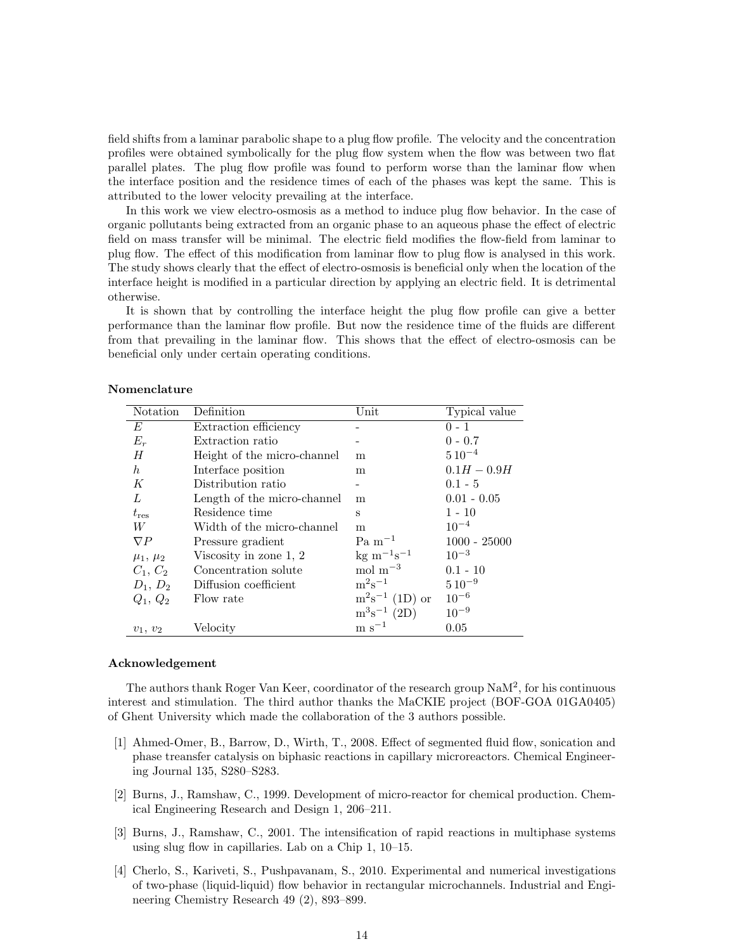field shifts from a laminar parabolic shape to a plug flow profile. The velocity and the concentration profiles were obtained symbolically for the plug flow system when the flow was between two flat parallel plates. The plug flow profile was found to perform worse than the laminar flow when the interface position and the residence times of each of the phases was kept the same. This is attributed to the lower velocity prevailing at the interface.

In this work we view electro-osmosis as a method to induce plug flow behavior. In the case of organic pollutants being extracted from an organic phase to an aqueous phase the effect of electric field on mass transfer will be minimal. The electric field modifies the flow-field from laminar to plug flow. The effect of this modification from laminar flow to plug flow is analysed in this work. The study shows clearly that the effect of electro-osmosis is beneficial only when the location of the interface height is modified in a particular direction by applying an electric field. It is detrimental otherwise.

It is shown that by controlling the interface height the plug flow profile can give a better performance than the laminar flow profile. But now the residence time of the fluids are different from that prevailing in the laminar flow. This shows that the effect of electro-osmosis can be beneficial only under certain operating conditions.

| Notation       | Definition                  | Unit                                    | Typical value  |
|----------------|-----------------------------|-----------------------------------------|----------------|
| E              | Extraction efficiency       |                                         | $0 - 1$        |
| $E_r$          | Extraction ratio            |                                         | $0 - 0.7$      |
| H              | Height of the micro-channel | m                                       | $510^{-4}$     |
| $h_{\cdot}$    | Interface position          | m                                       | $0.1H - 0.9H$  |
| К              | Distribution ratio          |                                         | $0.1 - 5$      |
| L              | Length of the micro-channel | m                                       | $0.01 - 0.05$  |
| $t_{\rm res}$  | Residence time              | S                                       | $1 - 10$       |
| W              | Width of the micro-channel  | m                                       | $10^{-4}$      |
| $\nabla P$     | Pressure gradient           | $Pa~m^{-1}$                             | $1000 - 25000$ |
| $\mu_1, \mu_2$ | Viscosity in zone 1, 2      | $\text{kg } \text{m}^{-1}\text{s}^{-1}$ | $10^{-3}$      |
| $C_1, C_2$     | Concentration solute        | mol $m^{-3}$                            | $0.1 - 10$     |
| $D_1, D_2$     | Diffusion coefficient       | $\rm m^2s^{-1}$                         | $510^{-9}$     |
| $Q_1, Q_2$     | Flow rate                   | $\rm m^2s^{-1}$ (1D) or                 | $10^{-6}$      |
|                |                             | $\rm m^3s^{-1}$ (2D)                    | $10^{-9}$      |
| $v_1, v_2$     | Velocity                    | $\mathrm{m} \mathrm{~s}^{-1}$           | 0.05           |

#### **Nomenclature**

#### **Acknowledgement**

The authors thank Roger Van Keer, coordinator of the research group NaM<sup>2</sup>, for his continuous interest and stimulation. The third author thanks the MaCKIE project (BOF-GOA 01GA0405) of Ghent University which made the collaboration of the 3 authors possible.

- [1] Ahmed-Omer, B., Barrow, D., Wirth, T., 2008. Effect of segmented fluid flow, sonication and phase treansfer catalysis on biphasic reactions in capillary microreactors. Chemical Engineering Journal 135, S280–S283.
- [2] Burns, J., Ramshaw, C., 1999. Development of micro-reactor for chemical production. Chemical Engineering Research and Design 1, 206–211.
- [3] Burns, J., Ramshaw, C., 2001. The intensification of rapid reactions in multiphase systems using slug flow in capillaries. Lab on a Chip 1, 10–15.
- [4] Cherlo, S., Kariveti, S., Pushpavanam, S., 2010. Experimental and numerical investigations of two-phase (liquid-liquid) flow behavior in rectangular microchannels. Industrial and Engineering Chemistry Research 49 (2), 893–899.